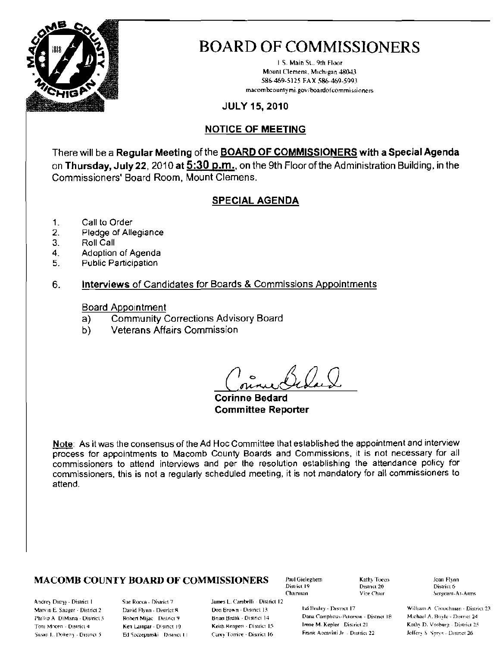

# **BOARD OF COMMISSIONERS**

1.S. Main St., 9th Floor Mount Clemens, Michigan 48043 586-469-5125 FAX 586-469-5993 macombcountymi.gov/boardofcommissioners

### **JULY 15, 2010**

### **NOTICE OF MEETING**

There will be a Regular Meeting of the **BOARD OF COMMISSIONERS** with a Special Agenda on Thursday, July 22, 2010 at 5:30 p.m., on the 9th Floor of the Administration Building, in the Commissioners' Board Room, Mount Clemens.

## **SPECIAL AGENDA**

- $1<sub>1</sub>$ Call to Order
- $2.$ Pledge of Allegiance
- $3.$ Roll Call
- $4<sub>1</sub>$ Adoption of Agenda
- $5<sub>1</sub>$ **Public Participation**
- **Interviews of Candidates for Boards & Commissions Appointments** 6.

#### **Board Appointment**

- **Community Corrections Advisory Board** a)
- b) **Veterans Affairs Commission**

**Corinne Bedard Committee Reporter** 

Note: As it was the consensus of the Ad Hoc Committee that established the appointment and interview process for appointments to Macomb County Boards and Commissions, it is not necessary for all commissioners to attend interviews and per the resolution establishing the attendance policy for commissioners, this is not a regularly scheduled meeting, it is not mandatory for all commissioners to attend.

James L. Carabelli - District 12

Don Brown - District 13

Brian Brdak - District 14

Keith Rengert - District 15

Carey Torrice - District 16

#### **MACOMB COUNTY BOARD OF COMMISSIONERS**

Andrey Duzyj - District 1 Marvin E. Sauger - District 2 Phillip A. DiMana - District 3. Toni Mocen - District 4 Susan L. Doherty - District 5

Sue Rocca - District 7 David Flynn - District 8 Robert Mijac District 9 Ken Lainpar - District 10 Ed Szczepanski District II Paul Gieleghem District 19 Chamnan

Kathy Tocen District 20 Vice Chair

Ed Braley - District 17 Dana Camphous-Peterson - District 18 Irene M. Kepler District 21 Frank Accavitti Jr. - District 22.

**Joan Flynn** District 6 Sergeant-At-Arms

William A. Crouchman - District 23 Michael A. Boyle - District 24 Kathy D. Vosburg - District 25 Jeffery S. Sprys - District 26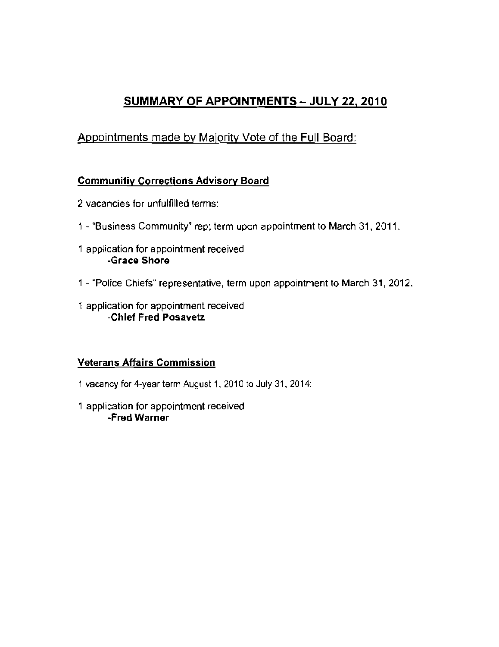# **SUMMARY OF APPOINTMENTS - JULY 22, 2010**

# Appointments made by Majority Vote of the Full Board:

#### **Communitiy Corrections Advisory Board**

- 2 vacancies for unfulfilled terms:
- 1 "Business Community" rep; term upon appointment to March 31,2011.
- 1 application for appointment received **-Grace Shore**
- 1 "Police Chiefs" representative, term upon appointment to March 31, 2012.
- 1 application for appointment received -Chief **Fred** Posavelz

#### **Veterans Affairs Commission**

- 1 vacancy for 4-year term August 1, 2010 to July 31, 2014:
- 1 application for appointment received **-Fred Warner**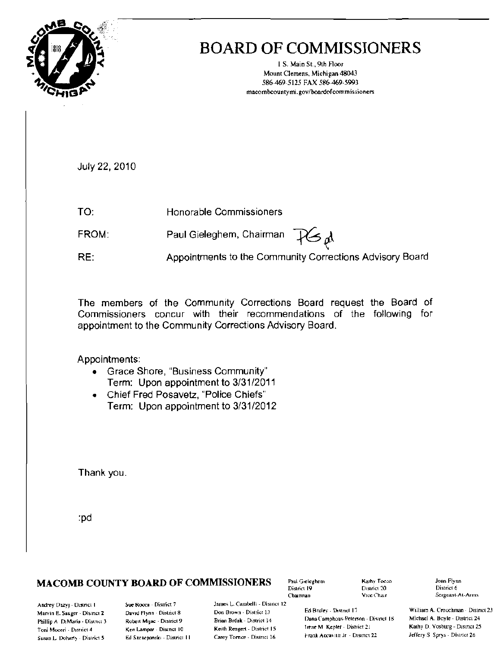

# **BOARD OF COMMISSIONERS**

1 S. Main St., 9th Floor Mount Clemens, Michigan 48043 586-469-5125 FAX 586-469-5993 macombcountymi.gov/boardofcommissioners

July 22, 2010

TO:

Honorable Commissioners

FROM:

Paul Gieleghem, Chairman  $\mathcal{H}_{\mathcal{A}}$ 

RF<sup>.</sup> Appointments to the Community Corrections Advisory Board

The members of the Community Corrections Board request the Board of Commissioners concur with their recommendations of the following for appointment to the Community Corrections Advisory Board.

Appointments:

- Grace Shore, "Business Community" Term: Upon appointment to 3/31/2011
- Chief Fred Posavetz, "Police Chiefs"  $\bullet$ Term: Upon appointment to 3/31/2012

Thank you.

:pd

## **MACOMB COUNTY BOARD OF COMMISSIONERS**

Andrey Duzyj - District 1 Marvin E. Sauger - Dismet 2 Phillip A. DiMaria - District 3 Toni Moceri - District 4 Susan L. Doherty - District 5

Sue Rocca - District 7 David Flynn - District 8 Robert Mijac - District 9 Ken Lampar - District 10 Ed Szezepanski - District III

District 19 Chairman James L. Carabelli - District 12 Don Brown - District 13 Brian Brdak - District 14

Keith Rengert - District 15

Carey Tornce - District 16

Ed Bruley - Downet 17

Paul Gieleghem

Kathy Tocco **District 20** Vice Chair

Joan Flynn District 6 Sergeant-At-Arms

Dana Camphous-Peterson - District 18 frene M. Kepler - District 21 Frank Accavith Jr. - Disinct 22

William A. Crouchman District 23 Michael A. Boyle - District 24 Kathy D. Vosburg - District 25 Jeffery S. Sprys - District 26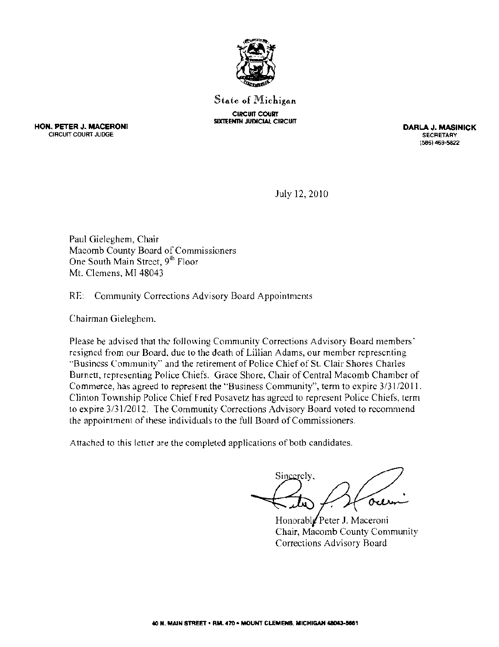

State of Michigan **CIRCUIT COURT SIXTEENTH JUDICIAL CIRCUIT** 

**HON. PETER J. MACERONI**  CIRCUIT COURT JUDGE

**DARLA J. MASINICK**  (586) 469·5822

July 12, 2010

Paul Gieleghem, Chair Macomb County Board of Commissioners One South Main Street,  $9<sup>th</sup>$  Floor Mt. Clemens. Ml 48043

RE: Community Corrections Advisory Board Appointments

Chairman Gieleghem.

Please be advised that the following Community Corrections Advisory Board members' resigned from our Board. due to the death of Lillian Adams, our member representing "Business Community" and the retirement of Police Chief of St. Clair Shores Charles Burnett, representing Police Chiefs. Grace Shore, Chair of Central Macomb Chamber of Commerce, has agreed to represent the "Business Community", term to expire 3/31/2011. Clinton Township Police Chief Fred Posavetz has agreed to represent Police Chiefs, term to expire 3/31/2012. The Community Corrections Advisory Board voted to recommend the appointment of these individuals to the full Board of Commissioners.

Attached to this letter are the completed applications of both candidates.

Sincerely.

Chair, Macomb County Community Corrections Advisory Board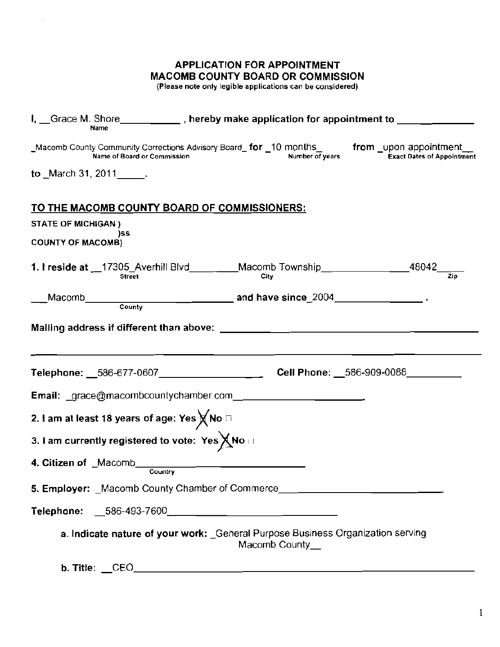#### APPLICATION FOR APPOINTMENT MACOMB COUNTY BOARD OR COMMISSION

(Please nole only legible applications can be considered)

| I, $\_\$ Grace M. Shore_____________, hereby make application for appointment to $\_\_\_\_\_\_$<br>Name                                                                 |               |                                   |
|-------------------------------------------------------------------------------------------------------------------------------------------------------------------------|---------------|-----------------------------------|
| Macomb County Community Corrections Advisory Board_for _10 months_etcome from _upon appointment_<br>Name of Board or Commission Number of years Exact Dates of Appointm |               | <b>Exact Dates of Appointment</b> |
| to _March 31, $2011$ _____.                                                                                                                                             |               |                                   |
| <u>TO THE MACOMB COUNTY BOARD OF COMMISSIONERS:</u>                                                                                                                     |               |                                   |
| STATE OF MICHIGAN)<br>)SS<br><b>COUNTY OF MACOMB)</b>                                                                                                                   |               |                                   |
| 1. I reside at __17305_Averhill Blvd_________Macomb Township_______________48042__<br>Street                                                                            | <b>City</b>   |                                   |
| $Macomb$ county county and have since 2004                                                                                                                              |               |                                   |
|                                                                                                                                                                         |               |                                   |
| Telephone: __586-677-0607___________________________Cell Phone: __586-909-0088__________                                                                                |               |                                   |
|                                                                                                                                                                         |               |                                   |
| 2. I am at least 18 years of age: Yes $\times$ No $\Box$                                                                                                                |               |                                   |
| 3. I am currently registered to vote: Yes XNo all                                                                                                                       |               |                                   |
| 4. Citizen of _Macomb_<br>Country                                                                                                                                       |               |                                   |
|                                                                                                                                                                         |               |                                   |
|                                                                                                                                                                         |               |                                   |
| a. Indicate nature of your work: _General Purpose Business Organization serving                                                                                         | Macomb County |                                   |
| b. Title: CEO                                                                                                                                                           |               |                                   |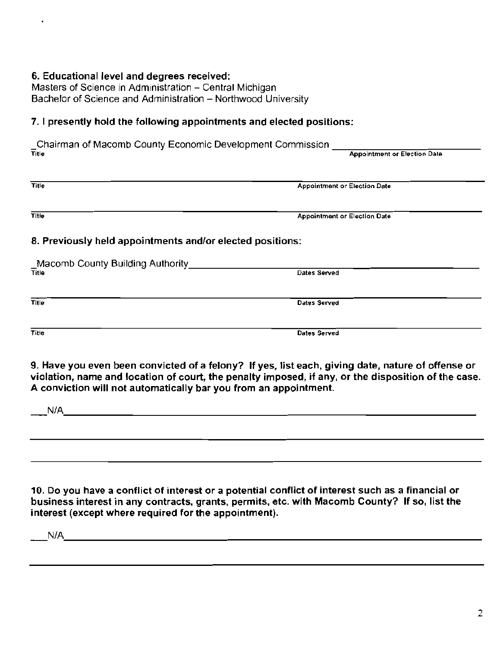#### 6. Educational level and degrees received:

Masters of Science in Administration - Central Michigan Bachelor of Science and Administration - Northwood University

### 7. I presently hold the following appointments and elected positions:

\_Chairman of Macomb County Economic Development Commission \_---..=======:- \_ Tille Appointment or Election Dale

| Title | <b>Appointment or Election Date</b> |
|-------|-------------------------------------|
|       |                                     |
| Title | <b>Appointment or Election Date</b> |

#### 8. Previously held appointments and/or elected positions:

| _Macomb County Building Authority |              |  |
|-----------------------------------|--------------|--|
| Title                             | Dates Served |  |
|                                   |              |  |

Title Dates Served

**Title** Dates Served

9. Have you even been convicted of a felony? If yes, list each, giving date, nature of offense or violation, name and location of court, the penalty imposed, if any, or the disposition of the case. A conviction will not automatically bar you from an appointment.

10. Do you have a conflict of interest or a potential conflict of interest such as a financial or business interest in any contracts, grants, permits, etc. with Macomb County? If so, list the interest (except where required for the appointment).

 $N/A$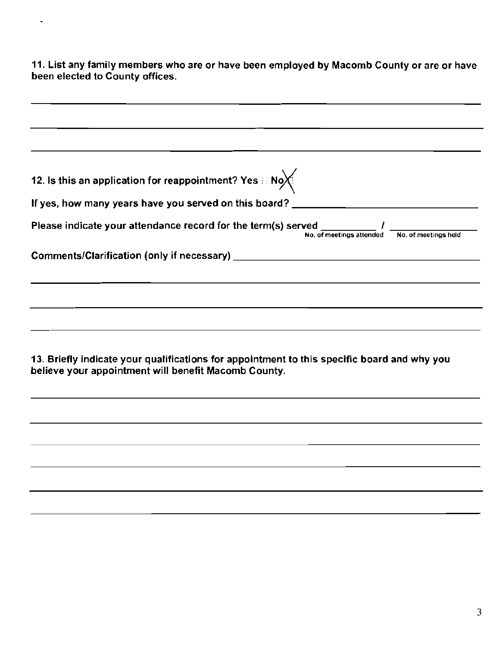11. List any family members who are or have been employed by Macomb County or are or have been elected to County offices.

L.

| the control of the control of the control of the control of the control of the control of the control of the control of the control of the control of the control of the control of the control of the control of the control |
|-------------------------------------------------------------------------------------------------------------------------------------------------------------------------------------------------------------------------------|
| 12. Is this an application for reappointment? Yes $\oplus$ No $\chi$                                                                                                                                                          |
| If yes, how many years have you served on this board? ___________________________                                                                                                                                             |
| Please indicate your attendance record for the term(s) served $\frac{1}{N_0}$ are meetings attended $\frac{1}{N_0}$ . of meetings held                                                                                        |
|                                                                                                                                                                                                                               |
|                                                                                                                                                                                                                               |
|                                                                                                                                                                                                                               |
|                                                                                                                                                                                                                               |
| 13. Briefly indicate your qualifications for appointment to this specific board and why you<br>believe your appointment will benefit Macomb County.                                                                           |
|                                                                                                                                                                                                                               |
|                                                                                                                                                                                                                               |
|                                                                                                                                                                                                                               |

3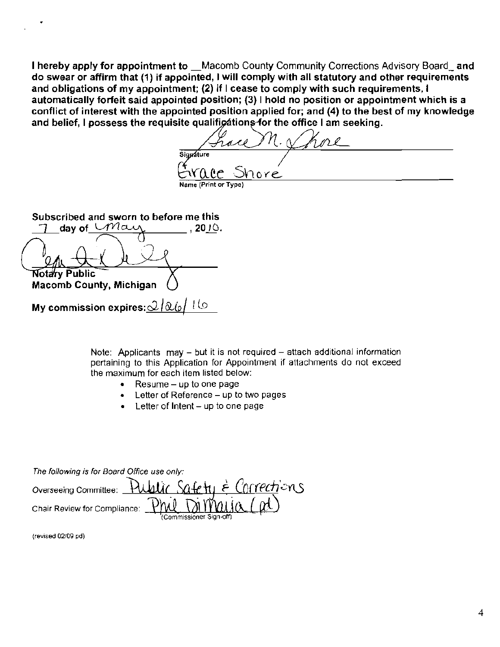I hereby apply for appointment to Macomb County Community Corrections Advisory Board and do swear or affirm that (1) if appointed, I will comply with all statutory and other requirements and obligations of my appointment; (2) if I cease to comply with such requirements, I automatically forfeit said appointed position; (3) I hold no position or appointment which is a conflict of interest with the appointed position applied for; and (4) to the best of my knowledge and belief, I possess the requisite qualifications for the office I am seeking.

Signature Name (Print or Type)

**Subscribed and sworn to before me this**   $day$  of  $OMau$  , 2010. " Notarv Public Macomb County, Michigan My commission expires:  $\frac{\partial}{\partial \alpha}$  ,  $\frac{\partial}{\partial \beta}$  ,  $\frac{\partial}{\partial \beta}$ 

Note: Applicants  $\text{may} - \text{but it is not required} - \text{attach additional information}$ pertaining to this Applicalion for Appointment jf attachments do not exceed the maximum for each item listed below:

- $\bullet$  Resume up to one page
- Letter of Reference up to two pages
- $\blacksquare$  Letter of Intent  $\blacksquare$  up to one page

The following is for Board Office use only:

Overseeing committee, ~~~~r(f(h2l1...5 Chair Review for Compliance: . l (Commissioner Sign-off)

(revised 02/09 pd)

•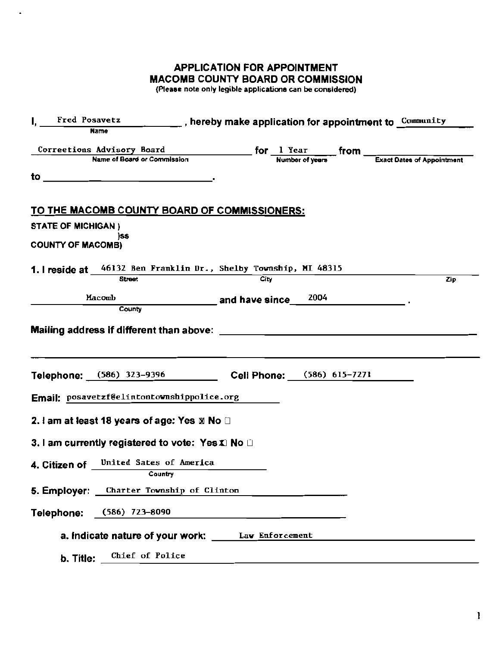# **APPLICATION FOR APPOINTMENT MACOMB COUNTY BOARD OR COMMISSION**

 $\blacksquare$ 

(Please note only legible applications can be considered)

| Fred Posavetz                                                    | , hereby make application for appointment to $\frac{\text{Commuty}}{\text{Commuty}}$ |
|------------------------------------------------------------------|--------------------------------------------------------------------------------------|
| Name                                                             |                                                                                      |
| Corrections Advisory Board                                       | for 1 Year<br>from                                                                   |
| Name of Board or Commission                                      | <b>Exact Dates of Appointment</b><br>Number of years                                 |
| <u>to ____________________________</u>                           |                                                                                      |
| TO THE MACOMB COUNTY BOARD OF COMMISSIONERS:                     |                                                                                      |
| <b>STATE OF MICHIGAN)</b>                                        |                                                                                      |
| ISS<br><b>COUNTY OF MACOMB)</b>                                  |                                                                                      |
|                                                                  | 1. I reside at 46132 Ben Franklin Dr., Shelby Township, MI 48315                     |
| <b>Street</b>                                                    | City<br>Zip                                                                          |
| Macomb                                                           | 2004<br>___and have since___                                                         |
| County                                                           |                                                                                      |
| Mailing address if different than above: _____                   |                                                                                      |
| Telephone: $(586)$ 323-9396                                      | Cell Phone: (586) 615-7271                                                           |
| Email: posavetzf@elintontownshippolice.org                       |                                                                                      |
| 2. I am at least 18 years of age: Yes $\bar{x}$ No $\Box$        |                                                                                      |
| 3. I am currently registered to vote: Yes $\mathbf{x}$ No $\Box$ |                                                                                      |
| United Sates of America<br>4. Citizen of<br>Country              |                                                                                      |
| 5. Employer: Charter Township of Clinton                         |                                                                                      |
| $(586)$ 723-8090<br>Telephone:                                   |                                                                                      |
|                                                                  |                                                                                      |
| a. Indicate nature of your work: Law Enforcement                 |                                                                                      |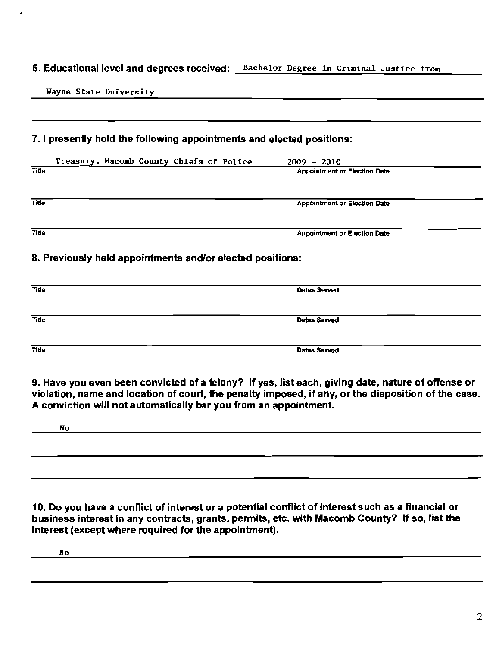#### **6. Educational level and degrees received:** Bachelor Degree in Criminal Justice from

**Wayne State University** 

#### 7. I presently hold the following appointments and elected positions:

|              | Treasury, Macomb County Chiefs of Police | $2009 - 2010$                       |  |
|--------------|------------------------------------------|-------------------------------------|--|
| Title        |                                          | <b>Appointment or Election Date</b> |  |
| <b>Title</b> |                                          | <b>Appointment or Election Date</b> |  |
| Title        |                                          | <b>Appointment or Election Date</b> |  |

#### B. Previously held appointments and/or elected positions:

| <b>Title</b> | Dates Served |
|--------------|--------------|
|              |              |
| <b>Title</b> | Dates Served |
|              |              |
| <b>Title</b> | Dates Served |

9. Have you even been convicted of a felony? If yes, list each, giving date, nature of offense or violation, name and location of court, the penalty imposed, if any, or the disposition of the case. A conviction will not automatically bar you from an appointment.

10. Do you have a conflict of interest or a potential conflict of interest such as a financial or business interest in any contracts, grants, permits, etc. with Macomb County? If so, list the interest (except where required for the appointment).

No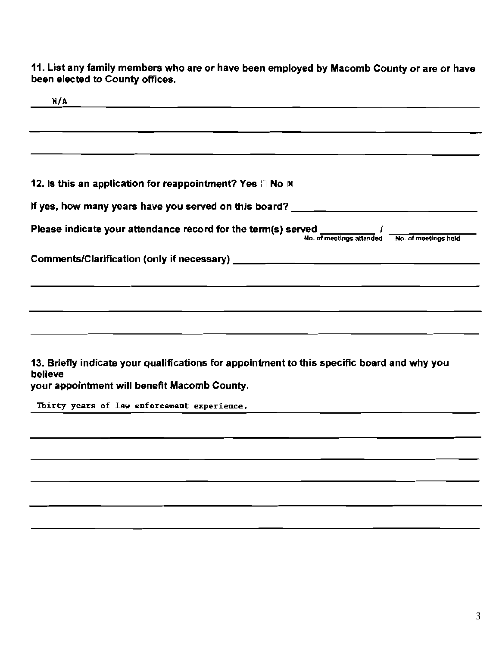11. List any family members who are or have been employed by Macomb County or are or have been elected to County offices.

| N/A<br><u> 1989 - Johann John Stein, mars an deus Amerikaansk kommunister (</u>                                                     |
|-------------------------------------------------------------------------------------------------------------------------------------|
|                                                                                                                                     |
|                                                                                                                                     |
|                                                                                                                                     |
|                                                                                                                                     |
| 12. is this an application for reappointment? Yes □ No <b>N</b>                                                                     |
| If yes, how many years have you served on this board? __________________________                                                    |
| Please indicate your attendance record for the term(s) served $\frac{1}{N_0}$ of meetings attended $\frac{1}{N_0}$ of meetings held |
|                                                                                                                                     |
|                                                                                                                                     |
|                                                                                                                                     |
| <u> 1980 - Jan Samuel de Samuel (1980), estableceu a constructivo de la constructivo de la constructivo de la con</u>               |
|                                                                                                                                     |
|                                                                                                                                     |
|                                                                                                                                     |
| 13. Briefly indicate your qualifications for appointment to this specific board and why you                                         |
| believe<br>your appointment will benefit Macomb County.                                                                             |
|                                                                                                                                     |
| Thirty years of law enforcement experience.                                                                                         |
|                                                                                                                                     |
|                                                                                                                                     |
|                                                                                                                                     |
|                                                                                                                                     |
|                                                                                                                                     |
|                                                                                                                                     |
|                                                                                                                                     |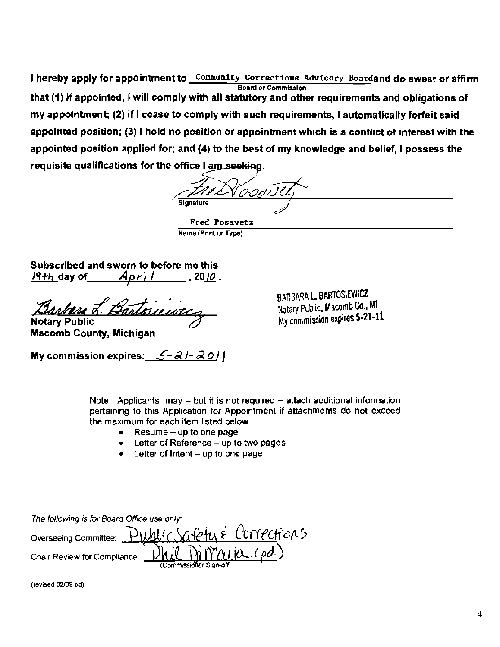**I hereby apply for appointment to** Community Corrections Advisory Boardand **do swear or affinn**  Board or Commission that (1) if appointed, I will comply with all statutory and other requirements and obligations of my appointment; (2) if I cease to comply with such requirements, I automatically forfeit said appointed position; (3) I hold no position or appointment which is a conflict of interest with the appointed position applied for; and (4) to the best of my knowledge and belief, I possess the requisite qualifications for the office I am seeking.

- Signature

Fred Posavetz Name (Print or Type)

Subscribed and sworn to before me this  $19+h$  day of  $Apr_i$  /  $\qquad$  , 20*10*.

subscribed and sworn to before me this<br>  $\frac{19+h}{19}$  day of  $\frac{Apri}{1}$ , 2010.<br>
BARBARA L BARTOSIEWICZ<br>
BARBARA L BARTOSIEWICZ<br>
Nu apprecian expires 5-21 Notary Public  $\overline{\mathscr{J}}$  My commission expires 5-21-11

Macomb County, Michigan

 $\overline{a}$ Nutary Public, Macumb Co., M1

My commission expires:  $\sqrt{5-2i}$  -  $\sqrt{20i}$ 

Note: Applicants  $\text{may} - \text{but it is not required} - \text{attach additional information}$ pertaining to this Application for Appointment if attachments do not exceed the maximum for each item listed below:

- $\bullet$  Resume up to one page
- Letter of Reference  $-$  up to two pages
- Letter of Intent  $-$  up to one page

The following is for Board Office use only: Overseeing Committee:  $P$  Wall  $\epsilon$ ,  $\alpha$   $P$  tu  $\epsilon$  COMPC than  $\delta$ Chair Review for Compliance: (Commissioner Sign-off)

(revised 02109 pd)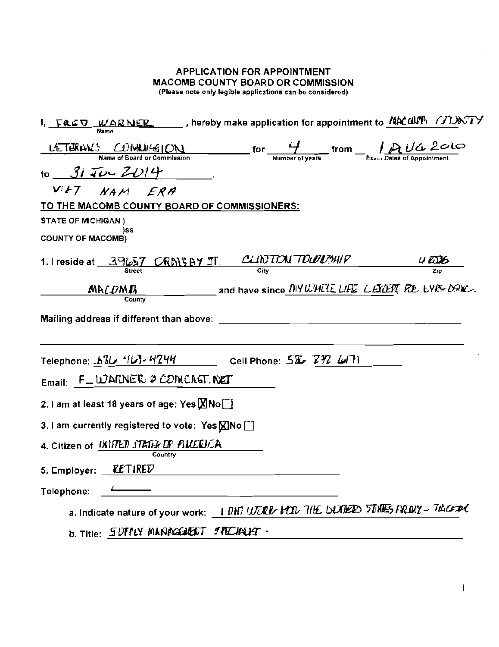# **APPLICATION FOR APPOINTMENT** MACOMB COUNTY BOARD OR COMMISSION<br>(Please note only legible applications can be considered)

| 1, $\frac{\nabla R \leq \nabla}{N \leq R}$ WARNER $\sum$ , hereby make application for appointment to MACURB CODNTY                                                                                                                                                                                               |  |
|-------------------------------------------------------------------------------------------------------------------------------------------------------------------------------------------------------------------------------------------------------------------------------------------------------------------|--|
|                                                                                                                                                                                                                                                                                                                   |  |
| to $3150 - 2014$<br>VILT NAM ERA                                                                                                                                                                                                                                                                                  |  |
| TO THE MACOMB COUNTY BOARD OF COMMISSIONERS:                                                                                                                                                                                                                                                                      |  |
| <b>STATE OF MICHIGAN)</b><br>)SS<br><b>COUNTY OF MACOMB)</b>                                                                                                                                                                                                                                                      |  |
| CLINTON TOWUSHIP<br>1. I reside at $\frac{39657}{\text{street}}$ CRMS BY JT.                                                                                                                                                                                                                                      |  |
| City                                                                                                                                                                                                                                                                                                              |  |
| $MRLDMB$ and have since $NNLMLLE LDE LEMEM$ RE EVR DENC.                                                                                                                                                                                                                                                          |  |
| Mailing address if different than above: with the Mailing and the Mail and Mail                                                                                                                                                                                                                                   |  |
| Telephone: $\underline{A}^2\underline{U}$ , $\underline{A}^2\underline{V}$ , $\underline{A}^2\underline{V}$ , $\underline{A}^2\underline{V}$ , $\underline{A}^2\underline{V}$ , $\underline{A}^2\underline{V}$ , $\underline{A}^2\underline{V}$ , $\underline{A}^2\underline{V}$ , $\underline{A}^2\underline{V}$ |  |
| <sub>Email:</sub> F_WARNER @ COMCAGT. NET                                                                                                                                                                                                                                                                         |  |
| 2. I am at least 18 years of age: Yes <b>X</b> No <sup></sup>                                                                                                                                                                                                                                                     |  |
| 3. I am currently registered to vote: Yes $\boxtimes$ No $\Box$                                                                                                                                                                                                                                                   |  |
| 4. Citizen of UNITED STATES OF PILLEULA<br>Country                                                                                                                                                                                                                                                                |  |
| 5. Employer: KETIRED                                                                                                                                                                                                                                                                                              |  |
| Telephone:                                                                                                                                                                                                                                                                                                        |  |
| a. Indicate nature of your work: 1 010 UTORE HOL THE LUTER TINES FRACT TIAGED                                                                                                                                                                                                                                     |  |
| <b>b. Title: SUFFLY MANAGEMENT SPECIALLY.</b>                                                                                                                                                                                                                                                                     |  |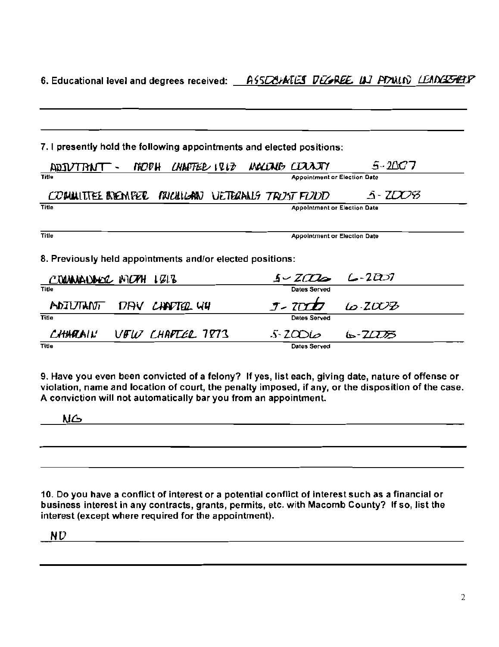# 6. Educational level and degrees received: ASSIZUATES DEGREE 117 ADMIN LEADESTRY

| 7. I presently hold the following appointments and elected positions: |                                     |            |
|-----------------------------------------------------------------------|-------------------------------------|------------|
| MODH LHAPTER LULE<br>$ATU$ TRNT                                       | INACIMIS CIAAJIY                    | $5 - 2007$ |
| <b>Title</b>                                                          | <b>Appointment or Election Date</b> |            |
| COMMITTEE BIEMPER PARNIGAN VETERALLS TRUST FLUDD                      |                                     | 5 - ZOOB   |
| Title                                                                 | <b>Appointment or Election Date</b> |            |
|                                                                       |                                     |            |
| <b>Title</b>                                                          | <b>Appointment or Election Date</b> |            |
|                                                                       |                                     |            |
| 8. Previously held appointments and/or elected positions:             |                                     |            |
| COMMANDATE MOTH 1513                                                  | $5 - ZCD$                           | $6 - 2007$ |
| Title                                                                 | <b>Dates Served</b>                 |            |
| ADIUTANT<br>DAY CANTEL WH                                             | $J - 7C1$                           | D ZOOD     |
| <b>Title</b>                                                          | <b>Dates Served</b>                 |            |
| CHHAAIN UFW CHAFTEL 7873                                              | $5$ -2006                           | 6-2275     |
| Title                                                                 | Dates Served                        |            |

9. Have you even been convicted of a felony? If yes, list each, giving date, nature of offense or violation, name and location of court, the penalty imposed, if any, or the disposition of the case. A conviction will not automatically bar you from an appointment.

*1Jt=.* 

10. Do you have a conflict of interest or a potential conflict of interest such as a financial or business interest in any contracts, grants, permits, etc. with Macomb County? If so, list the interest (except where required for the appointment).

<u> 1950 - Johann Stein, marwolaethau a bhann an t-</u>

ND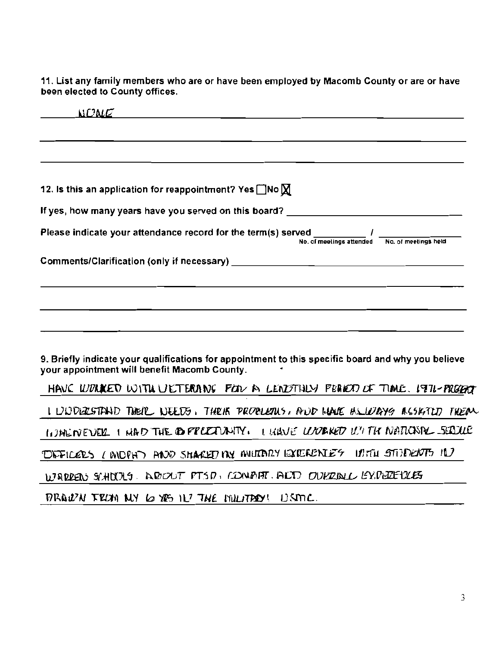11. List any family members who are or have been employed by Macomb County or are or have been elected to County offices.

| NOME                                                                                                                                               |
|----------------------------------------------------------------------------------------------------------------------------------------------------|
|                                                                                                                                                    |
| 12. Is this an application for reappointment? Yes $\Box$ No $\boxtimes$                                                                            |
| If yes, how many years have you served on this board? _________________________________                                                            |
| Please indicate your attendance record for the term(s) served<br>No. of meetings attended No. of meetings held                                     |
|                                                                                                                                                    |
|                                                                                                                                                    |
|                                                                                                                                                    |
| 9. Briefly indicate your qualifications for appointment to this specific board and why you believe<br>your appointment will benefit Macomb County. |
| HAVE WONKED WITH UETERNING FOR A LENZITHLY PERIOD OF TIME. 1971-PREGIT                                                                             |
| I DIODERSTAND THEIR WEEDS, THRIR PROBLEMS, AND WAVE HELDAYS ASSIGTED THEM                                                                          |
| LITHE IVEVER I HAD THE OD PRECEDINTY. I HAVE LOOKKED UT THE NATIONAL SERVICE                                                                       |
| <b>DEFICES (MOPH) AND SHARED IN MUTARY EXTERENTS IN THE STODENTS IN</b>                                                                            |
| WARREN'S SCHOOLDED ARROWS FOR CONVERT AND OVEREAL EXPERENCES                                                                                       |
| DRAWN TROM WY 60 YES IN THE MILITROY! USING.                                                                                                       |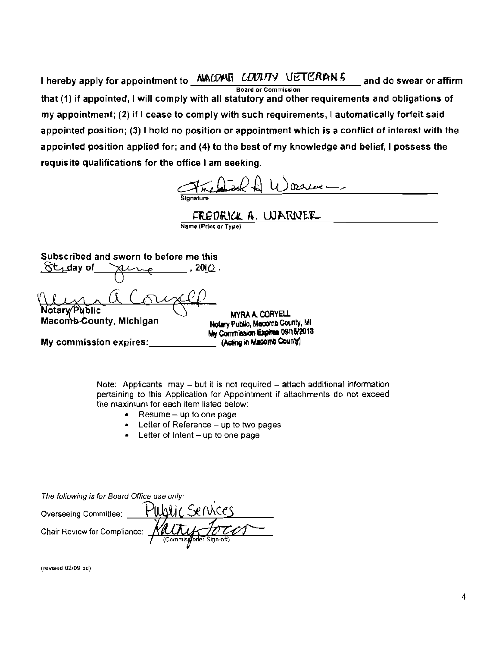I hereby apply for appointment to MALOME COUVTY VETERANS and do swear or affirm Board or Commission that (1) if appointed, I will comply with all statutory and other requirements and obligations of my appointment; (2) if I cease to comply with such requirements, I automatically forfeit said appointed position; (3) I hold no position or appointment which is a conflict of interest with the appointed position applied for; and (4) to the best of my knowledge and belief, I possess the requisite qualifications for the office I am seeking.

 $4000$ Signature FREDRICK A. WARNEE Name (Print or Type) Subscribed and sworn to before me this \Sc"aayof , 20lQ., Notary/Public **MYRA A CORYELL** Macomb-County, Michigan Notary Public, Macomb County, MI My Commission Expires 09/15/2013 (Acting in Macomb County) My commission expires:

Note: Applicants may  $-$  but it is not required  $-$  attach additional information pertaining to this Application for Appointment if attachments do not exceed the maximum for each item listed below:

- Resume up to one page
- $\bullet$  Letter of Reference  $\div$  up to two pages
- $\bullet$  Letter of Intent  $-$  up to one page

The following is for Board Office use only: Overseeing Committee: \_ Chair Review for Compliance: \_<u>/\WWWK\_/D\_COZV</u> <u>\_\_\_Pulguic Services</u>

(revised 02109 pd)